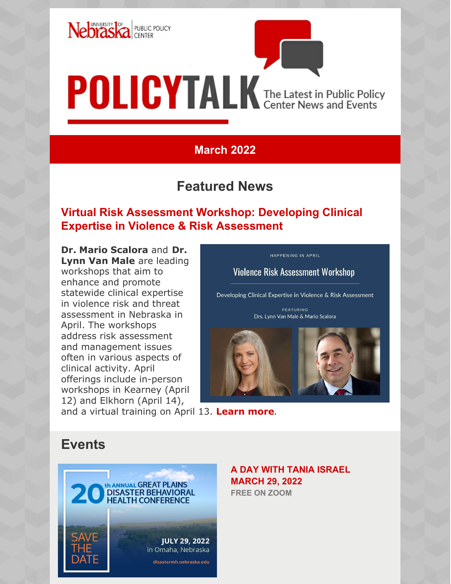

# **POLICYTALK** The Latest in Public Policy

## **March 2022**

## **Featured News**

## **Risk Assessment Workshop: Developing ClinicalrExpertise in Violence & Risk Assessment**

**Dr. Mario Scalora** and **Dr. Lynn Van Male** are leading workshops that aim to enhance and promote statewide clinical expertise in violence risk and threat assessment in Nebraska in April. The workshops address risk assessment and management issues often in various aspects of clinical activity. April offerings include in-person workshops in Kearney (April 12) and Elkhorn (April 14),

**Violence Risk Assessment Workshop** Developing Clinical Expertise in Violence & Risk Assessment

HAPPENING IN APRIL

FEATURING Drs. Lynn Van Male & Mario Scalora



and a virtual training on April 13. **[Learn more](https://ppc.unl.edu/sites/default/files/page-images/vra-training-flyer.pdf)**.

# **Events**



**A DAY WITH TANIA ISRAEL MARCH 29, 2022 FREE ON ZOOM**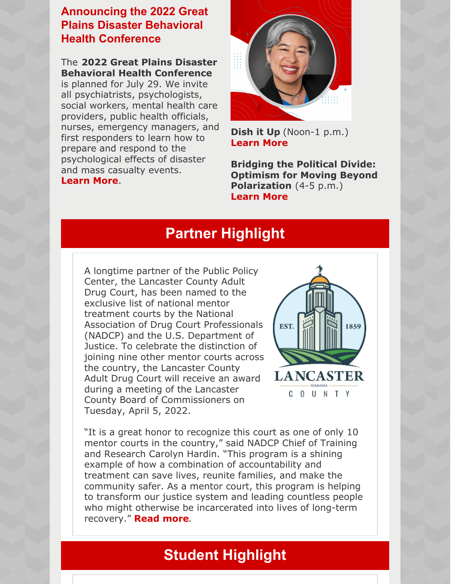### **Announcing the 2022 Great Plains Disaster Behavioral Health Conference**

The **2022 Great Plains Disaster Behavioral Health Conference** is planned for July 29. We invite all psychiatrists, psychologists, social workers, mental health care providers, public health officials, nurses, emergency managers, and first responders to learn how to prepare and respond to the psychological effects of disaster and mass casualty events. **[Learn](https://www.disastermh.nebraska.edu/gp-dbh-conference/) More**.



**[Dish](https://events.unl.edu/ppc/2022/03/29/163685/) it Up** (Noon-1 p.m.) **[Learn](https://ppc.unl.edu/dish-it-features-tania-israel) More**

**Bridging the Political Divide: Optimism for Moving Beyond [Polarization](https://events.unl.edu/OASIS/2022/03/29/163470/)** (4-5 p.m.) **[Learn](https://ppc.unl.edu/bridging-political-divide-optimism-moving-beyond-polarization-tania-israel) More**

## **Partner Highlight**

A longtime partner of the Public Policy Center, the Lancaster County Adult Drug Court, has been named to the exclusive list of national mentor treatment courts by the National Association of Drug Court Professionals (NADCP) and the U.S. Department of Justice. To celebrate the distinction of joining nine other mentor courts across the country, the Lancaster County Adult Drug Court will receive an award during a meeting of the Lancaster County Board of Commissioners on Tuesday, April 5, 2022.



"It is a great honor to recognize this court as one of only 10 mentor courts in the country," said NADCP Chief of Training and Research Carolyn Hardin. "This program is a shining example of how a combination of accountability and treatment can save lives, reunite families, and make the community safer. As a mentor court, this program is helping to transform our justice system and leading countless people who might otherwise be incarcerated into lives of long-term recovery." **[Read](https://ppc.unl.edu/lancaster-county-adult-drug-court-receives-national-recognition-mentor-court) more**.

# **Student Highlight**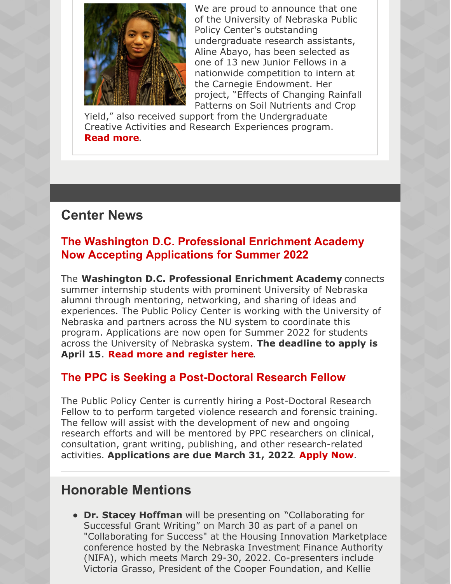

We are proud to announce that one of the University of Nebraska Public Policy Center's [outstanding](https://www.facebook.com/NUPPC/?__cft__%5B0%5D=AZV3HRxuFT91QMjPi5oNiCQ_SK03Y12OwnfyXOFWDNOOUAtzFYV4O4RadY9s7Z9ojiwjcKJ7AnqKFpOuC2tsIhRItt-g35ksXIqa1Nq5mKK4hVjtPl--SVyaObakShsofU-bFQrWo27Uicod6YXhWT3Om-z_-ZLj_A958UEB7IEmSpDSkmZthAV4GXweJLpaIts&__tn__=kK*F) undergraduate research assistants, Aline Abayo, has been selected as one of 13 new Junior Fellows in a nationwide competition to intern at the Carnegie Endowment. Her project, "Effects of Changing Rainfall Patterns on Soil Nutrients and Crop

Yield," also received support from the Undergraduate Creative Activities and Research Experiences program. **[Read](https://news.unl.edu/newsrooms/today/article/abayo-to-study-africas-role-in-global-affairs-through-carnegie-fellowship/?fbclid=IwAR2-ACqfi3YxThrMe5-uyCyQbRgCC6PUae20735rsewchtlxdsox1Xuqn74) more**.

## **Center News**

### **The Washington D.C. Professional Enrichment Academy Now Accepting Applications for Summer 2022**

The **Washington D.C. Professional Enrichment Academy** connects summer internship students with prominent University of Nebraska alumni through mentoring, networking, and sharing of ideas and experiences. The Public Policy Center is working with the University of Nebraska and partners across the NU system to coordinate this program. Applications are now open for Summer 2022 for students across the University of Nebraska system. **The deadline to apply is April 15**. **Read more and [register](https://ppc.unl.edu/washington-dc-enrichment-academy/washington-dc-professional-enrichment-academy-program) here**.

#### **The PPC is Seeking a Post-Doctoral Research Fellow**

The Public Policy Center is currently hiring a Post-Doctoral Research Fellow to to perform targeted violence research and forensic training. The fellow will assist with the development of new and ongoing research efforts and will be mentored by PPC researchers on clinical, consultation, grant writing, publishing, and other research-related activities. **Applications are due March 31, 2022**. **[Apply](https://employment.unl.edu/postings/77489) Now**.

## **Honorable Mentions**

**Dr. Stacey Hoffman** will be presenting on "Collaborating for Successful Grant Writing" on March 30 as part of a panel on "Collaborating for Success" at the Housing Innovation Marketplace conference hosted by the Nebraska Investment Finance Authority (NIFA), which meets March 29-30, 2022. Co-presenters include Victoria Grasso, President of the Cooper Foundation, and Kellie